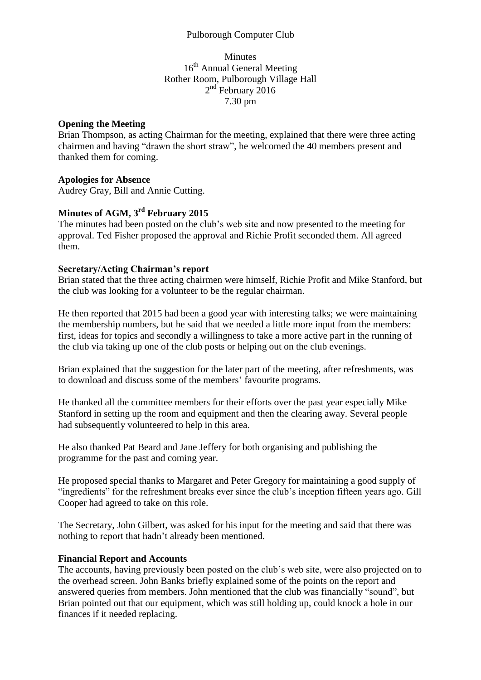## Pulborough Computer Club

## Minutes 16<sup>th</sup> Annual General Meeting Rother Room, Pulborough Village Hall 2<sup>nd</sup> February 2016 7.30 pm

## **Opening the Meeting**

Brian Thompson, as acting Chairman for the meeting, explained that there were three acting chairmen and having "drawn the short straw", he welcomed the 40 members present and thanked them for coming.

## **Apologies for Absence**

Audrey Gray, Bill and Annie Cutting.

# **Minutes of AGM, 3 rd February 2015**

The minutes had been posted on the club's web site and now presented to the meeting for approval. Ted Fisher proposed the approval and Richie Profit seconded them. All agreed them.

### **Secretary/Acting Chairman's report**

Brian stated that the three acting chairmen were himself, Richie Profit and Mike Stanford, but the club was looking for a volunteer to be the regular chairman.

He then reported that 2015 had been a good year with interesting talks; we were maintaining the membership numbers, but he said that we needed a little more input from the members: first, ideas for topics and secondly a willingness to take a more active part in the running of the club via taking up one of the club posts or helping out on the club evenings.

Brian explained that the suggestion for the later part of the meeting, after refreshments, was to download and discuss some of the members' favourite programs.

He thanked all the committee members for their efforts over the past year especially Mike Stanford in setting up the room and equipment and then the clearing away. Several people had subsequently volunteered to help in this area.

He also thanked Pat Beard and Jane Jeffery for both organising and publishing the programme for the past and coming year.

He proposed special thanks to Margaret and Peter Gregory for maintaining a good supply of "ingredients" for the refreshment breaks ever since the club's inception fifteen years ago. Gill Cooper had agreed to take on this role.

The Secretary, John Gilbert, was asked for his input for the meeting and said that there was nothing to report that hadn't already been mentioned.

## **Financial Report and Accounts**

The accounts, having previously been posted on the club's web site, were also projected on to the overhead screen. John Banks briefly explained some of the points on the report and answered queries from members. John mentioned that the club was financially "sound", but Brian pointed out that our equipment, which was still holding up, could knock a hole in our finances if it needed replacing.